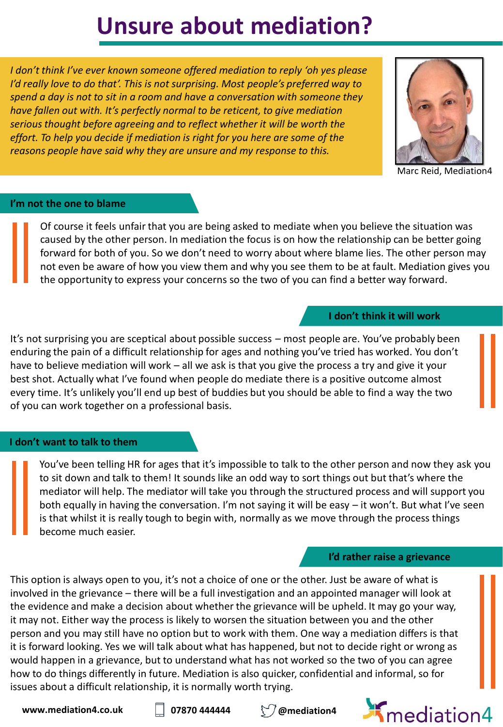# **Unsure about mediation?**

*I don't think I've ever known someone offered mediation to reply 'oh yes please I'd really love to do that'. This is not surprising. Most people's preferred way to spend a day is not to sit in a room and have a conversation with someone they have fallen out with. It's perfectly normal to be reticent, to give mediation serious thought before agreeing and to reflect whether it will be worth the effort. To help you decide if mediation is right for you here are some of the reasons people have said why they are unsure and my response to this.*



Marc Reid, Mediation4

#### **I'm not the one to blame**

Of course it feels unfair that you are being asked to mediate when you believe the situation was caused by the other person. In mediation the focus is on how the relationship can be better going forward for both of you. So we don't need to worry about where blame lies. The other person may not even be aware of how you view them and why you see them to be at fault. Mediation gives you the opportunity to express your concerns so the two of you can find a better way forward.

#### **I don't think it will work**

It's not surprising you are sceptical about possible success – most people are. You've probably been enduring the pain of a difficult relationship for ages and nothing you've tried has worked. You don't have to believe mediation will work – all we ask is that you give the process a try and give it your best shot. Actually what I've found when people do mediate there is a positive outcome almost every time. It's unlikely you'll end up best of buddies but you should be able to find a way the two of you can work together on a professional basis.

# **I don't want to talk to them**

You've been telling HR for ages that it's impossible to talk to the other person and now they ask you to sit down and talk to them! It sounds like an odd way to sort things out but that's where the mediator will help. The mediator will take you through the structured process and will support you both equally in having the conversation. I'm not saying it will be easy – it won't. But what I've seen is that whilst it is really tough to begin with, normally as we move through the process things become much easier.

#### **I'd rather raise a grievance**

This option is always open to you, it's not a choice of one or the other. Just be aware of what is involved in the grievance – there will be a full investigation and an appointed manager will look at the evidence and make a decision about whether the grievance will be upheld. It may go your way, it may not. Either way the process is likely to worsen the situation between you and the other person and you may still have no option but to work with them. One way a mediation differs is that it is forward looking. Yes we will talk about what has happened, but not to decide right or wrong as would happen in a grievance, but to understand what has not worked so the two of you can agree how to do things differently in future. Mediation is also quicker, confidential and informal, so for issues about a difficult relationship, it is normally worth trying.

**www.mediation4.co.uk**  $\Box$  07870 444444  $\Box$  @mediation4